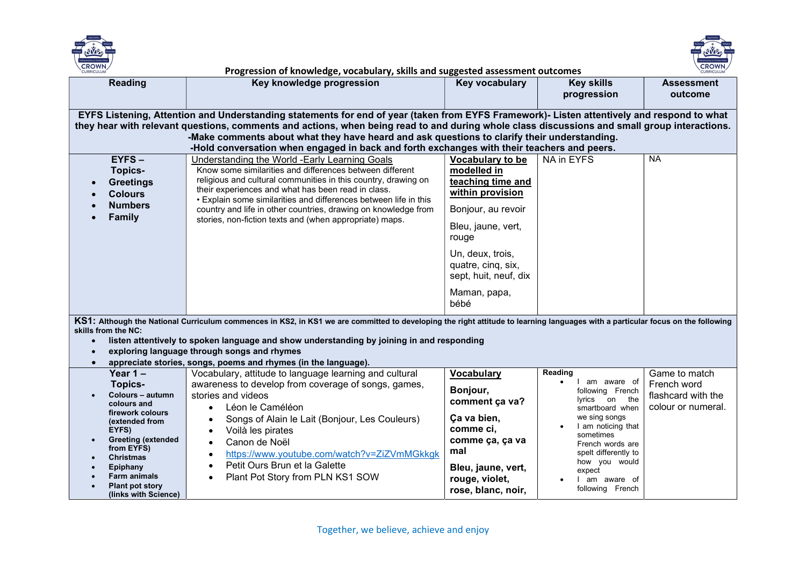



| <b>Reading</b>                                                                                                                                                                                                                                                                                                                                                                                                                                                                          | Key knowledge progression                                                                                                                                                                                                                                                                                                                                                                                                                 | Key vocabulary                                                                                                                                                                                                           | <b>Key skills</b><br>progression                                                                                                                                                                                                                       | <b>Assessment</b><br>outcome                                             |  |
|-----------------------------------------------------------------------------------------------------------------------------------------------------------------------------------------------------------------------------------------------------------------------------------------------------------------------------------------------------------------------------------------------------------------------------------------------------------------------------------------|-------------------------------------------------------------------------------------------------------------------------------------------------------------------------------------------------------------------------------------------------------------------------------------------------------------------------------------------------------------------------------------------------------------------------------------------|--------------------------------------------------------------------------------------------------------------------------------------------------------------------------------------------------------------------------|--------------------------------------------------------------------------------------------------------------------------------------------------------------------------------------------------------------------------------------------------------|--------------------------------------------------------------------------|--|
| EYFS Listening, Attention and Understanding statements for end of year (taken from EYFS Framework)- Listen attentively and respond to what<br>they hear with relevant questions, comments and actions, when being read to and during whole class discussions and small group interactions.<br>-Make comments about what they have heard and ask questions to clarify their understanding.<br>-Hold conversation when engaged in back and forth exchanges with their teachers and peers. |                                                                                                                                                                                                                                                                                                                                                                                                                                           |                                                                                                                                                                                                                          |                                                                                                                                                                                                                                                        |                                                                          |  |
| $EYFS -$<br><b>Topics-</b><br><b>Greetings</b><br><b>Colours</b><br><b>Numbers</b><br><b>Family</b>                                                                                                                                                                                                                                                                                                                                                                                     | <b>Understanding the World -Early Learning Goals</b><br>Know some similarities and differences between different<br>religious and cultural communities in this country, drawing on<br>their experiences and what has been read in class.<br>• Explain some similarities and differences between life in this<br>country and life in other countries, drawing on knowledge from<br>stories, non-fiction texts and (when appropriate) maps. | Vocabulary to be<br>modelled in<br>teaching time and<br>within provision<br>Bonjour, au revoir<br>Bleu, jaune, vert,<br>rouge<br>Un, deux, trois,<br>quatre, cinq, six,<br>sept, huit, neuf, dix<br>Maman, papa,<br>bébé | NA in EYFS                                                                                                                                                                                                                                             | <b>NA</b>                                                                |  |
| skills from the NC:                                                                                                                                                                                                                                                                                                                                                                                                                                                                     | KS1: Although the National Curriculum commences in KS2, in KS1 we are committed to developing the right attitude to learning languages with a particular focus on the following                                                                                                                                                                                                                                                           |                                                                                                                                                                                                                          |                                                                                                                                                                                                                                                        |                                                                          |  |
| $\bullet$                                                                                                                                                                                                                                                                                                                                                                                                                                                                               | listen attentively to spoken language and show understanding by joining in and responding<br>exploring language through songs and rhymes                                                                                                                                                                                                                                                                                                  |                                                                                                                                                                                                                          |                                                                                                                                                                                                                                                        |                                                                          |  |
| $\bullet$                                                                                                                                                                                                                                                                                                                                                                                                                                                                               | appreciate stories, songs, poems and rhymes (in the language).                                                                                                                                                                                                                                                                                                                                                                            |                                                                                                                                                                                                                          |                                                                                                                                                                                                                                                        |                                                                          |  |
| Year $1 -$<br><b>Topics-</b><br>Colours - autumn<br>colours and<br>firework colours<br>(extended from<br>EYFS)<br><b>Greeting (extended</b><br>$\bullet$<br>from EYFS)<br><b>Christmas</b><br>Epiphany<br>Farm animals<br><b>Plant pot story</b><br>(links with Science)                                                                                                                                                                                                                | Vocabulary, attitude to language learning and cultural<br>awareness to develop from coverage of songs, games,<br>stories and videos<br>Léon le Caméléon<br>$\bullet$<br>Songs of Alain le Lait (Bonjour, Les Couleurs)<br>Voilà les pirates<br>$\bullet$<br>Canon de Noël<br>https://www.youtube.com/watch?v=ZiZVmMGkkgk<br>$\bullet$<br>Petit Ours Brun et la Galette<br>$\bullet$<br>Plant Pot Story from PLN KS1 SOW                   | <b>Vocabulary</b><br>Bonjour,<br>comment ça va?<br>Ça va bien,<br>comme ci,<br>comme ça, ça va<br>mal<br>Bleu, jaune, vert,<br>rouge, violet,<br>rose, blanc, noir,                                                      | Reading<br>I am aware of<br>following French<br>lyrics<br>on<br>the<br>smartboard when<br>we sing songs<br>I am noticing that<br>sometimes<br>French words are<br>spelt differently to<br>how you would<br>expect<br>I am aware of<br>following French | Game to match<br>French word<br>flashcard with the<br>colour or numeral. |  |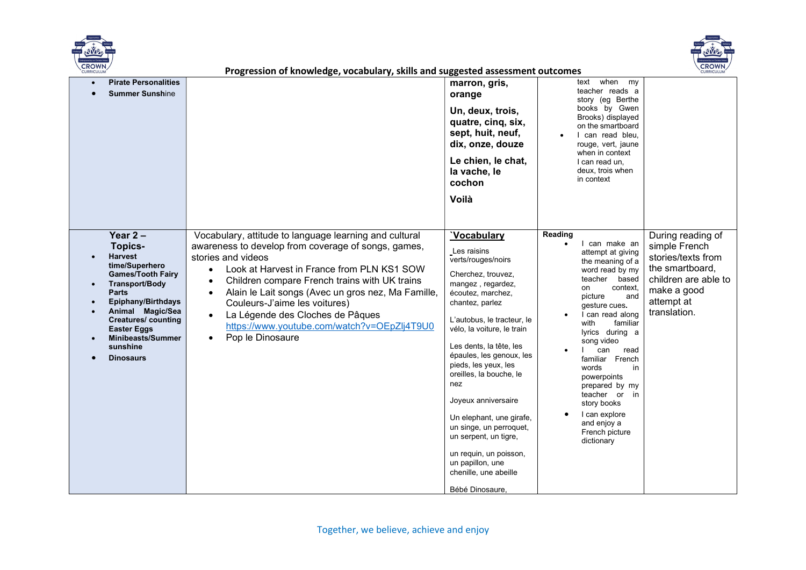



| <b>Pirate Personalities</b><br><b>Summer Sunshine</b>                                                                                                                                                                                                                            | ssion of miowicage, vocabalary, simis and suggested assessment outcom                                                                                                                                                                                                                                                                                                                                                                                      | marron, gris,<br>orange<br>Un, deux, trois,<br>quatre, cinq, six,<br>sept, huit, neuf,                                                                                                                                                                                                                                                                                                                                                                                                                                  | when<br>text<br>my<br>teacher reads a<br>story (eg Berthe<br>books by Gwen<br>Brooks) displayed<br>on the smartboard<br>I can read bleu.                                                                                                                                                                                                                                                                                 |                                                                                                                                                  |
|----------------------------------------------------------------------------------------------------------------------------------------------------------------------------------------------------------------------------------------------------------------------------------|------------------------------------------------------------------------------------------------------------------------------------------------------------------------------------------------------------------------------------------------------------------------------------------------------------------------------------------------------------------------------------------------------------------------------------------------------------|-------------------------------------------------------------------------------------------------------------------------------------------------------------------------------------------------------------------------------------------------------------------------------------------------------------------------------------------------------------------------------------------------------------------------------------------------------------------------------------------------------------------------|--------------------------------------------------------------------------------------------------------------------------------------------------------------------------------------------------------------------------------------------------------------------------------------------------------------------------------------------------------------------------------------------------------------------------|--------------------------------------------------------------------------------------------------------------------------------------------------|
|                                                                                                                                                                                                                                                                                  |                                                                                                                                                                                                                                                                                                                                                                                                                                                            | dix, onze, douze<br>Le chien, le chat,<br>la vache, le<br>cochon<br>Voilà                                                                                                                                                                                                                                                                                                                                                                                                                                               | rouge, vert, jaune<br>when in context<br>I can read un,<br>deux, trois when<br>in context                                                                                                                                                                                                                                                                                                                                |                                                                                                                                                  |
| Year $2-$<br>Topics-<br>Harvest<br>time/Superhero<br><b>Games/Tooth Fairy</b><br><b>Transport/Body</b><br><b>Parts</b><br>Epiphany/Birthdays<br>Animal Magic/Sea<br><b>Creatures/ counting</b><br><b>Easter Eggs</b><br><b>Minibeasts/Summer</b><br>sunshine<br><b>Dinosaurs</b> | Vocabulary, attitude to language learning and cultural<br>awareness to develop from coverage of songs, games,<br>stories and videos<br>Look at Harvest in France from PLN KS1 SOW<br>$\bullet$<br>Children compare French trains with UK trains<br>Alain le Lait songs (Avec un gros nez, Ma Famille,<br>Couleurs-J'aime les voitures)<br>La Légende des Cloches de Pâques<br>$\bullet$<br>https://www.youtube.com/watch?v=OEpZlj4T9U0<br>Pop le Dinosaure | <b>Vocabulary</b><br>Les raisins<br>verts/rouges/noirs<br>Cherchez, trouvez,<br>mangez, regardez,<br>écoutez, marchez,<br>chantez, parlez<br>L'autobus, le tracteur, le<br>vélo, la voiture, le train<br>Les dents, la tête, les<br>épaules, les genoux, les<br>pieds, les yeux, les<br>oreilles, la bouche, le<br>nez<br>Joyeux anniversaire<br>Un elephant, une girafe,<br>un singe, un perroquet,<br>un serpent, un tigre,<br>un requin, un poisson,<br>un papillon, une<br>chenille, une abeille<br>Bébé Dinosaure, | Reading<br>I can make an<br>attempt at giving<br>the meaning of a<br>word read by my<br>teacher based<br>context,<br>on<br>picture<br>and<br>gesture cues.<br>I can read along<br>familiar<br>with<br>lyrics during a<br>song video<br>can<br>read<br>familiar French<br>words<br>in<br>powerpoints<br>prepared by my<br>teacher or<br>in<br>story books<br>I can explore<br>and enjoy a<br>French picture<br>dictionary | During reading of<br>simple French<br>stories/texts from<br>the smartboard,<br>children are able to<br>make a good<br>attempt at<br>translation. |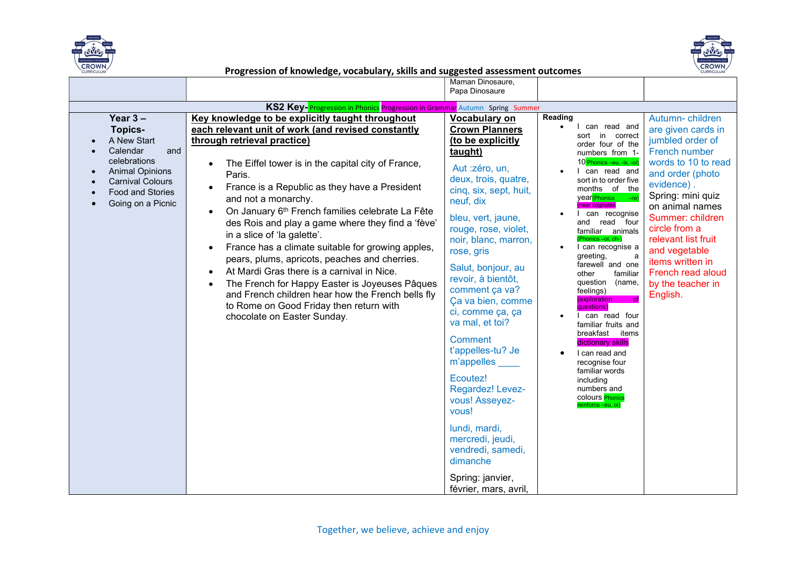



|                                                                                                                                                                              |                                                                                                                                                                                                                                                                                                                                                                                                                                                                                                                                                                                                                                                                                                                                                                        | Maman Dinosaure,<br>Papa Dinosaure                                                                                                                                                                                                                                                                                                                                                                                                                                                                                                                                                                 |                                                                                                                                                                                                                                                                                                                                                                                                                                                                                                                                                                                                                                                                                                       |                                                                                                                                                                                                                                                                                                                                    |
|------------------------------------------------------------------------------------------------------------------------------------------------------------------------------|------------------------------------------------------------------------------------------------------------------------------------------------------------------------------------------------------------------------------------------------------------------------------------------------------------------------------------------------------------------------------------------------------------------------------------------------------------------------------------------------------------------------------------------------------------------------------------------------------------------------------------------------------------------------------------------------------------------------------------------------------------------------|----------------------------------------------------------------------------------------------------------------------------------------------------------------------------------------------------------------------------------------------------------------------------------------------------------------------------------------------------------------------------------------------------------------------------------------------------------------------------------------------------------------------------------------------------------------------------------------------------|-------------------------------------------------------------------------------------------------------------------------------------------------------------------------------------------------------------------------------------------------------------------------------------------------------------------------------------------------------------------------------------------------------------------------------------------------------------------------------------------------------------------------------------------------------------------------------------------------------------------------------------------------------------------------------------------------------|------------------------------------------------------------------------------------------------------------------------------------------------------------------------------------------------------------------------------------------------------------------------------------------------------------------------------------|
|                                                                                                                                                                              |                                                                                                                                                                                                                                                                                                                                                                                                                                                                                                                                                                                                                                                                                                                                                                        |                                                                                                                                                                                                                                                                                                                                                                                                                                                                                                                                                                                                    |                                                                                                                                                                                                                                                                                                                                                                                                                                                                                                                                                                                                                                                                                                       |                                                                                                                                                                                                                                                                                                                                    |
|                                                                                                                                                                              | KS2 Key-Progression in Phonics Progression in Grammar Autumn Spring Summer                                                                                                                                                                                                                                                                                                                                                                                                                                                                                                                                                                                                                                                                                             |                                                                                                                                                                                                                                                                                                                                                                                                                                                                                                                                                                                                    |                                                                                                                                                                                                                                                                                                                                                                                                                                                                                                                                                                                                                                                                                                       |                                                                                                                                                                                                                                                                                                                                    |
| Year $3 -$<br><b>Topics-</b><br>A New Start<br>Calendar<br>and<br>celebrations<br><b>Animal Opinions</b><br><b>Carnival Colours</b><br>Food and Stories<br>Going on a Picnic | Key knowledge to be explicitly taught throughout<br>each relevant unit of work (and revised constantly<br>through retrieval practice)<br>The Eiffel tower is in the capital city of France,<br>Paris.<br>France is a Republic as they have a President<br>and not a monarchy.<br>On January 6 <sup>th</sup> French families celebrate La Fête<br>des Rois and play a game where they find a 'fève'<br>in a slice of 'la galette'.<br>France has a climate suitable for growing apples,<br>pears, plums, apricots, peaches and cherries.<br>At Mardi Gras there is a carnival in Nice.<br>The French for Happy Easter is Joyeuses Pâques<br>and French children hear how the French bells fly<br>to Rome on Good Friday then return with<br>chocolate on Easter Sunday. | Vocabulary on<br><b>Crown Planners</b><br>(to be explicitly<br>taught)<br>Aut : zéro, un,<br>deux, trois, quatre,<br>cinq, six, sept, huit,<br>neuf, dix<br>bleu, vert, jaune,<br>rouge, rose, violet,<br>noir, blanc, marron,<br>rose, gris<br>Salut, bonjour, au<br>revoir, à bientôt,<br>comment ça va?<br>Ça va bien, comme<br>ci, comme ça, ça<br>va mal, et toi?<br>Comment<br>t'appelles-tu? Je<br>m'appelles<br>Ecoutez!<br>Regardez! Levez-<br>vous! Asseyez-<br>vous!<br>lundi, mardi,<br>mercredi, jeudi,<br>vendredi, samedi,<br>dimanche<br>Spring: janvier,<br>février, mars, avril, | Reading<br>I can read and<br>$\bullet$<br>sort in correct<br>order four of the<br>numbers from 1-<br>10 Phonics –eu, -ix, -oi)<br>I can read and<br>sort in to order five<br>months of the<br>year <sup>(Phonics - re)</sup><br>near cognates<br>can recognise<br>and read four<br>familiar animals<br>(Phonics -oi, ch-)<br>I can recognise a<br>greeting,<br>a<br>farewell and one<br>familiar<br>other<br>question (name,<br>feelings)<br><i>(exploration</i><br>of<br>questions)<br>can read four<br>familiar fruits and<br>breakfast items<br>dictionary skills<br>I can read and<br>recognise four<br>familiar words<br>including<br>numbers and<br>colours <b>Phonics</b><br>einforce -eu, oi) | Autumn-children<br>are given cards in<br>jumbled order of<br>French number<br>words to 10 to read<br>and order (photo<br>evidence).<br>Spring: mini quiz<br>on animal names<br>Summer: children<br>circle from a<br>relevant list fruit<br>and vegetable<br>items written in<br>French read aloud<br>by the teacher in<br>English. |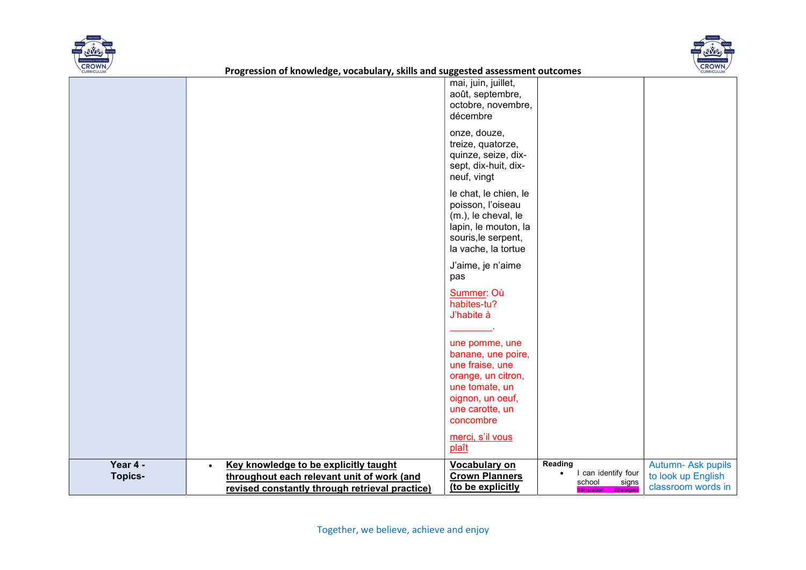



|                            |                                                                                                                                                    | mai, juin, juillet,<br>août, septembre,<br>octobre, novembre,<br>décembre<br>onze, douze,<br>treize, quatorze,<br>quinze, seize, dix-<br>sept, dix-huit, dix-<br>neuf, vingt<br>le chat, le chien, le<br>poisson, l'oiseau<br>(m.), le cheval, le<br>lapin, le mouton, la<br>souris, le serpent,<br>la vache, la tortue<br>J'aime, je n'aime<br>pas<br>Summer: Où<br>habites-tu? |                                                                             |                                                                |
|----------------------------|----------------------------------------------------------------------------------------------------------------------------------------------------|----------------------------------------------------------------------------------------------------------------------------------------------------------------------------------------------------------------------------------------------------------------------------------------------------------------------------------------------------------------------------------|-----------------------------------------------------------------------------|----------------------------------------------------------------|
|                            |                                                                                                                                                    | J'habite à<br>une pomme, une<br>banane, une poire,<br>une fraise, une<br>orange, un citron,<br>une tomate, un<br>oignon, un oeuf,<br>une carotte, un<br>concombre<br>merci, s'il vous<br>plaît                                                                                                                                                                                   |                                                                             |                                                                |
| Year 4 -<br><b>Topics-</b> | Key knowledge to be explicitly taught<br>$\bullet$<br>throughout each relevant unit of work (and<br>revised constantly through retrieval practice) | Vocabulary on<br><b>Crown Planners</b><br>(to be explicitly                                                                                                                                                                                                                                                                                                                      | Reading<br>I can identify four<br>school<br>signs<br>translation strategies | Autumn- Ask pupils<br>to look up English<br>classroom words in |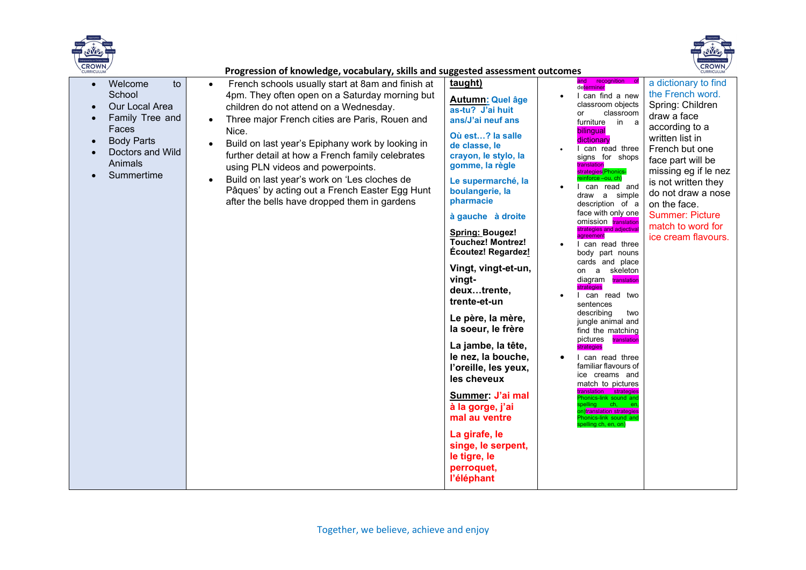



| CROWN/<br><b>CURRICULUM</b>                                                                                    |                                                                           | Progression of knowledge, vocabulary, skills and suggested assessment outcomes                                                                                                                                                                                                                                                                                                                                                                                                                                                    |                                                                                                                                                                                                                                                                                                                                                                                                                                                                                                                                                                                                                                                              |                                                                                                                                                                                                                                                                                                                                                                                                                                                                                                                                                                                                                                                                                                                                                                                                                                                                                         | <b>CROWN/</b>                                                                                                                                                                                                                                                                                                      |
|----------------------------------------------------------------------------------------------------------------|---------------------------------------------------------------------------|-----------------------------------------------------------------------------------------------------------------------------------------------------------------------------------------------------------------------------------------------------------------------------------------------------------------------------------------------------------------------------------------------------------------------------------------------------------------------------------------------------------------------------------|--------------------------------------------------------------------------------------------------------------------------------------------------------------------------------------------------------------------------------------------------------------------------------------------------------------------------------------------------------------------------------------------------------------------------------------------------------------------------------------------------------------------------------------------------------------------------------------------------------------------------------------------------------------|-----------------------------------------------------------------------------------------------------------------------------------------------------------------------------------------------------------------------------------------------------------------------------------------------------------------------------------------------------------------------------------------------------------------------------------------------------------------------------------------------------------------------------------------------------------------------------------------------------------------------------------------------------------------------------------------------------------------------------------------------------------------------------------------------------------------------------------------------------------------------------------------|--------------------------------------------------------------------------------------------------------------------------------------------------------------------------------------------------------------------------------------------------------------------------------------------------------------------|
| Welcome<br>$\bullet$<br>School<br>$\bullet$<br>$\bullet$<br>Faces<br><b>Body Parts</b><br>$\bullet$<br>Animals | to<br>Our Local Area<br>Family Tree and<br>Doctors and Wild<br>Summertime | French schools usually start at 8am and finish at<br>$\bullet$<br>4pm. They often open on a Saturday morning but<br>children do not attend on a Wednesday.<br>Three major French cities are Paris, Rouen and<br>Nice.<br>Build on last year's Epiphany work by looking in<br>further detail at how a French family celebrates<br>using PLN videos and powerpoints.<br>Build on last year's work on 'Les cloches de<br>$\bullet$<br>Pâques' by acting out a French Easter Egg Hunt<br>after the bells have dropped them in gardens | taught)<br><b>Autumn: Quel âge</b><br>as-tu? J'ai huit<br>ans/J'ai neuf ans<br>Où est? la salle<br>de classe, le<br>crayon, le stylo, la<br>gomme, la règle<br>Le supermarché, la<br>boulangerie, la<br>pharmacie<br>à gauche à droite<br><b>Spring: Bougez!</b><br><b>Touchez! Montrez!</b><br>Écoutez! Regardez!<br>Vingt, vingt-et-un,<br>vingt-<br>deuxtrente,<br>trente-et-un<br>Le père, la mère,<br>la soeur, le frère<br>La jambe, la tête,<br>le nez, la bouche,<br>l'oreille, les yeux,<br>les cheveux<br>Summer: J'ai mal<br>à la gorge, j'ai<br>mal au ventre<br>La girafe, le<br>singe, le serpent,<br>le tigre, le<br>perroquet,<br>l'éléphant | and<br>recognition<br>determiner<br>I can find a new<br>classroom objects<br>classroom<br>or<br>in a<br>furniture<br>bilingual<br>dictionary<br>I can read three<br>signs for shops<br>translation<br><mark>strategies</mark> (Phonics-<br>einforce -ou, ch)<br>can read and<br>draw a simple<br>description of a<br>face with only one<br>omission translation<br>strategies and adjectival<br>agreement<br>I can read three<br>body part nouns<br>cards and place<br>a skeleton<br>on<br>diagram translation<br>strategies<br>I can read two<br>sentences<br>describing<br>two<br>jungle animal and<br>find the matching<br>pictures<br>translation<br>strategies<br>I can read three<br>familiar flavours of<br>ice creams and<br>match to pictures<br>translation strategies<br>honics-link sound and<br>on)translation strategies<br>honics-link sound and<br>spelling ch, en, on) | a dictionary to find<br>the French word.<br>Spring: Children<br>draw a face<br>according to a<br>written list in<br>French but one<br>face part will be<br>missing eg if le nez<br>is not written they<br>do not draw a nose<br>on the face.<br><b>Summer: Picture</b><br>match to word for<br>ice cream flavours. |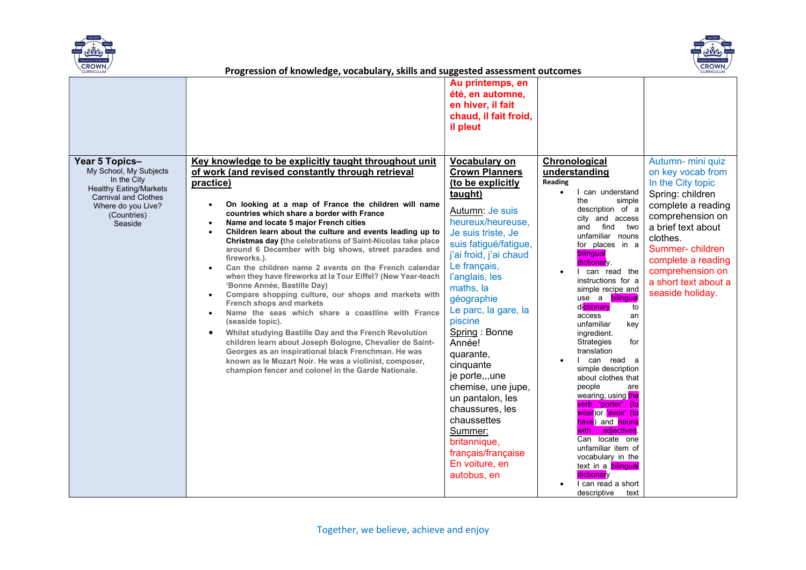



|                                                                                                                                                                         | sss.c e. ceage,                                                                                                                                                                                                                                                                                                                                                                                                                                                                                                                                                                                                                                                                                                                                                                                                                                                                                                                                                                                                                                                                                     | Au printemps, en<br>été, en automne,<br>en hiver, il fait<br>chaud, il fait froid,<br>il pleut                                                                                                                                                                                                                                                                                                                                                                                                                               |                                                                                                                                                                                                                                                                                                                                                                                                                                                                                                                                                                                                                                                                                                                                                                                                  |                                                                                                                                                                                                                                                                      |
|-------------------------------------------------------------------------------------------------------------------------------------------------------------------------|-----------------------------------------------------------------------------------------------------------------------------------------------------------------------------------------------------------------------------------------------------------------------------------------------------------------------------------------------------------------------------------------------------------------------------------------------------------------------------------------------------------------------------------------------------------------------------------------------------------------------------------------------------------------------------------------------------------------------------------------------------------------------------------------------------------------------------------------------------------------------------------------------------------------------------------------------------------------------------------------------------------------------------------------------------------------------------------------------------|------------------------------------------------------------------------------------------------------------------------------------------------------------------------------------------------------------------------------------------------------------------------------------------------------------------------------------------------------------------------------------------------------------------------------------------------------------------------------------------------------------------------------|--------------------------------------------------------------------------------------------------------------------------------------------------------------------------------------------------------------------------------------------------------------------------------------------------------------------------------------------------------------------------------------------------------------------------------------------------------------------------------------------------------------------------------------------------------------------------------------------------------------------------------------------------------------------------------------------------------------------------------------------------------------------------------------------------|----------------------------------------------------------------------------------------------------------------------------------------------------------------------------------------------------------------------------------------------------------------------|
| Year 5 Topics-<br>My School, My Subjects<br>In the City<br><b>Healthy Eating/Markets</b><br><b>Carnival and Clothes</b><br>Where do you Live?<br>(Countries)<br>Seaside | Key knowledge to be explicitly taught throughout unit<br>of work (and revised constantly through retrieval<br>practice)<br>On looking at a map of France the children will name<br>countries which share a border with France<br>Name and locate 5 major French cities<br>Children learn about the culture and events leading up to<br><b>Christmas day (the celebrations of Saint-Nicolas take place</b><br>around 6 December with big shows, street parades and<br>fireworks.).<br>Can the children name 2 events on the French calendar<br>when they have fireworks at la Tour Eiffel? (New Year-teach<br>'Bonne Année, Bastille Day)<br>Compare shopping culture, our shops and markets with<br>French shops and markets<br>Name the seas which share a coastline with France<br>(seaside topic).<br>Whilst studying Bastille Day and the French Revolution<br>children learn about Joseph Bologne, Chevalier de Saint-<br>Georges as an inspirational black Frenchman. He was<br>known as le Mozart Noir. He was a violinist, composer,<br>champion fencer and colonel in the Garde Nationale. | Vocabulary on<br><b>Crown Planners</b><br>(to be explicitly<br>taught)<br>Autumn: Je suis<br>heureux/heureuse,<br>Je suis triste, Je<br>suis fatigué/fatigue,<br>j'ai froid, j'ai chaud<br>Le français,<br>l'anglais, les<br>maths, la<br>géographie<br>Le parc, la gare, la<br>piscine<br>Spring: Bonne<br>Année!<br>quarante,<br>cinquante<br>je porte,,,une<br>chemise, une jupe,<br>un pantalon, les<br>chaussures, les<br>chaussettes<br>Summer:<br>britannique,<br>français/française<br>En voiture, en<br>autobus, en | <b>Chronological</b><br>understanding<br>Reading<br>I can understand<br>$\bullet$<br>the<br>simple<br>description of a<br>city and access<br>find<br>and<br>two<br>unfamiliar nouns<br>for places in a<br>bilingual<br>dictionary.<br>can read the<br>instructions for a<br>simple recipe and<br>use a <b>bilingual</b><br>di <mark>ctionary</mark><br>to<br>access<br>an<br>unfamiliar<br>key<br>ingredient.<br>for<br>Strategies<br>translation<br>can read a<br>simple description<br>about clothes that<br>people<br>are<br>wearing, using the<br>verb "porter"<br>(to<br>wear)or 'avoir' (to<br>have) and nouns<br>adjectives<br>with<br>Can locate one<br>unfamiliar item of<br>vocabulary in the<br>text in a <b>bilingual</b><br>dictionary<br>I can read a short<br>descriptive<br>text | Autumn- mini quiz<br>on key vocab from<br>In the City topic<br>Spring: children<br>complete a reading<br>comprehension on<br>a brief text about<br>clothes.<br>Summer-children<br>complete a reading<br>comprehension on<br>a short text about a<br>seaside holiday. |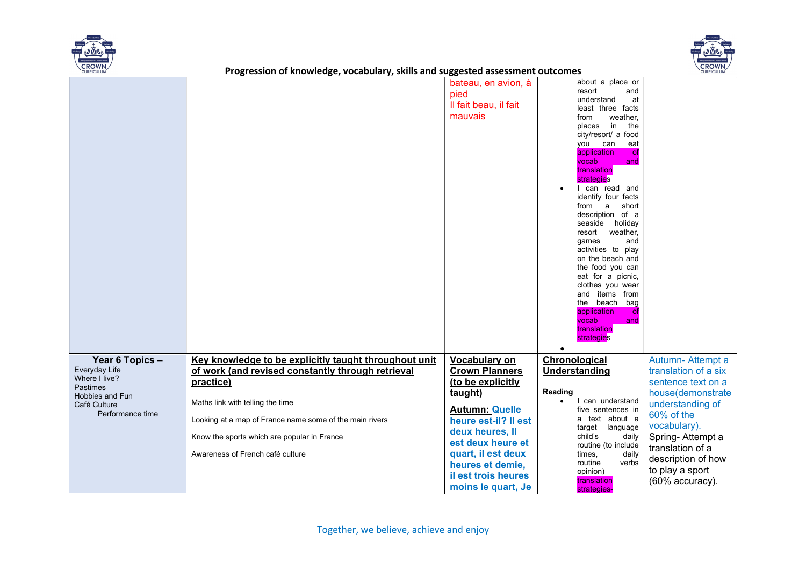



|                                  |                                                         | bateau, en avion, à   | about a place or                    |                      |
|----------------------------------|---------------------------------------------------------|-----------------------|-------------------------------------|----------------------|
|                                  |                                                         | pied                  | resort<br>and                       |                      |
|                                  |                                                         | Il fait beau, il fait | understand<br>at                    |                      |
|                                  |                                                         |                       | least three facts                   |                      |
|                                  |                                                         | mauvais               | weather,<br>from                    |                      |
|                                  |                                                         |                       | in<br>the<br>places                 |                      |
|                                  |                                                         |                       | city/resort/ a food                 |                      |
|                                  |                                                         |                       | you can<br>eat                      |                      |
|                                  |                                                         |                       | application<br>of                   |                      |
|                                  |                                                         |                       | vocab<br>and                        |                      |
|                                  |                                                         |                       | translation<br>strategies           |                      |
|                                  |                                                         |                       | I can read and                      |                      |
|                                  |                                                         |                       | identify four facts                 |                      |
|                                  |                                                         |                       | from a<br>short                     |                      |
|                                  |                                                         |                       | description of a                    |                      |
|                                  |                                                         |                       | seaside holiday                     |                      |
|                                  |                                                         |                       | resort<br>weather,                  |                      |
|                                  |                                                         |                       | games<br>and                        |                      |
|                                  |                                                         |                       | activities to play                  |                      |
|                                  |                                                         |                       | on the beach and                    |                      |
|                                  |                                                         |                       | the food you can                    |                      |
|                                  |                                                         |                       | eat for a picnic,                   |                      |
|                                  |                                                         |                       | clothes you wear<br>and items from  |                      |
|                                  |                                                         |                       | the beach bag                       |                      |
|                                  |                                                         |                       | application<br><b>of</b>            |                      |
|                                  |                                                         |                       | vocab<br>and                        |                      |
|                                  |                                                         |                       | translation                         |                      |
|                                  |                                                         |                       | strategies                          |                      |
|                                  |                                                         |                       | $\bullet$                           |                      |
| Year 6 Topics -                  | Key knowledge to be explicitly taught throughout unit   | Vocabulary on         | Chronological                       | Autumn-Attempt a     |
| Everyday Life                    | of work (and revised constantly through retrieval       | <b>Crown Planners</b> | <b>Understanding</b>                | translation of a six |
| Where I live?                    | practice)                                               | (to be explicitly     |                                     | sentence text on a   |
| <b>Pastimes</b>                  |                                                         | taught)               | Reading                             | house(demonstrate    |
| Hobbies and Fun                  | Maths link with telling the time                        |                       | I can understand                    | understanding of     |
| Café Culture<br>Performance time |                                                         | <b>Autumn: Quelle</b> | five sentences in                   |                      |
|                                  | Looking at a map of France name some of the main rivers | heure est-il? Il est  | a text about a                      | 60% of the           |
|                                  |                                                         | deux heures, II       | target language                     | vocabulary).         |
|                                  | Know the sports which are popular in France             | est deux heure et     | child's<br>daily                    | Spring-Attempt a     |
|                                  |                                                         |                       | routine (to include                 | translation of a     |
|                                  | Awareness of French café culture                        | quart, il est deux    | times,<br>daily<br>routine<br>verbs | description of how   |
|                                  |                                                         | heures et demie,      | opinion)                            | to play a sport      |
|                                  |                                                         | il est trois heures   | translation                         | (60% accuracy).      |
|                                  |                                                         | moins le quart, Je    | strategies-                         |                      |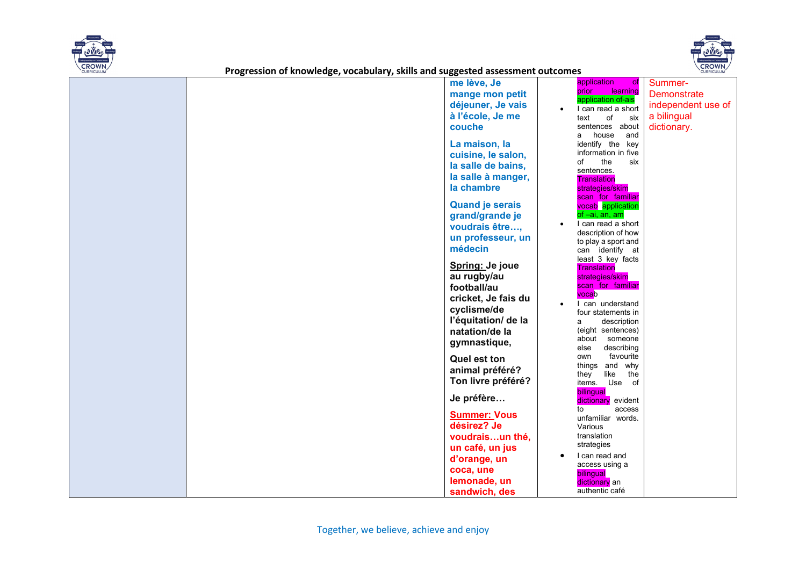



|  | me lève, Je            | application<br>of                       | Summer-            |
|--|------------------------|-----------------------------------------|--------------------|
|  | mange mon petit        | learning<br>prior                       | <b>Demonstrate</b> |
|  | déjeuner, Je vais      | application of-ais                      | independent use of |
|  | à l'école, Je me       | I can read a short<br>text<br>of        | a bilingual        |
|  | couche                 | six<br>sentences about                  |                    |
|  |                        | a house<br>and                          | dictionary.        |
|  | La maison, la          | identify the key                        |                    |
|  | cuisine, le salon,     | information in five                     |                    |
|  | la salle de bains,     | the<br>of<br>six                        |                    |
|  | la salle à manger,     | sentences.                              |                    |
|  |                        | <b>Translation</b>                      |                    |
|  | la chambre             | strategies/skim<br>scan for familiar    |                    |
|  | <b>Quand je serais</b> | vocab application                       |                    |
|  | grand/grande je        | of -ai, an, am                          |                    |
|  | voudrais être,         | I can read a short                      |                    |
|  | un professeur, un      | description of how                      |                    |
|  |                        | to play a sport and                     |                    |
|  | médecin                | can identify at                         |                    |
|  | Spring: Je joue        | least 3 key facts<br><b>Translation</b> |                    |
|  | au rugby/au            | strategies/skim                         |                    |
|  | football/au            | scan for familiar                       |                    |
|  | cricket, Je fais du    | vocab                                   |                    |
|  |                        | I can understand                        |                    |
|  | cyclisme/de            | four statements in                      |                    |
|  | l'équitation/ de la    | description<br>a                        |                    |
|  | natation/de la         | (eight sentences)<br>about someone      |                    |
|  | gymnastique,           | describing<br>else                      |                    |
|  | <b>Quel est ton</b>    | favourite<br>own                        |                    |
|  | animal préféré?        | things and why                          |                    |
|  |                        | like<br>they<br>the                     |                    |
|  | Ton livre préféré?     | items. Use of                           |                    |
|  | Je préfère             | bilingual<br>dictionary evident         |                    |
|  |                        | to<br>access                            |                    |
|  | <b>Summer: Vous</b>    | unfamiliar words.                       |                    |
|  | désirez? Je            | Various                                 |                    |
|  | voudraisun thé,        | translation                             |                    |
|  | un café, un jus        | strategies                              |                    |
|  | d'orange, un           | I can read and                          |                    |
|  | coca, une              | access using a                          |                    |
|  | lemonade, un           | bilingual<br>dictionary an              |                    |
|  | sandwich, des          | authentic café                          |                    |
|  |                        |                                         |                    |